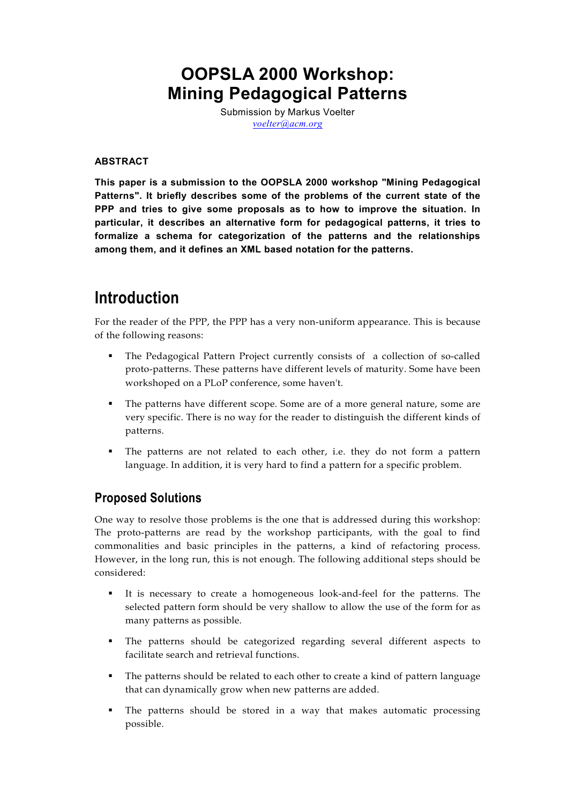## **OOPSLA 2000 Workshop: Mining Pedagogical Patterns**

Submission by Markus Voelter *[voelter@acm.org](mailto:voelter@acm.org)*

#### **ABSTRACT**

**This paper is a submission to the OOPSLA 2000 workshop "Mining Pedagogical Patterns". It briefly describes some of the problems of the current state of the PPP and tries to give some proposals as to how to improve the situation. In particular, it describes an alternative form for pedagogical patterns, it tries to formalize a schema for categorization of the patterns and the relationships among them, and it defines an XML based notation for the patterns.**

## **Introduction**

For the reader of the PPP, the PPP has a very non-uniform appearance. This is because of the following reasons:

- The Pedagogical Pattern Project currently consists of a collection of so-called proto-patterns. These patterns have different levels of maturity. Some have been workshoped on a PLoP conference, some haven't.
- The patterns have different scope. Some are of a more general nature, some are very specific. There is no way for the reader to distinguish the different kinds of patterns.
- The patterns are not related to each other, i.e. they do not form a pattern language. In addition, it is very hard to find a pattern for a specific problem.

### **Proposed Solutions**

One way to resolve those problems is the one that is addressed during this workshop: The proto-patterns are read by the workshop participants, with the goal to find commonalities and basic principles in the patterns, a kind of refactoring process. However, in the long run, this is not enough. The following additional steps should be considered:

- It is necessary to create a homogeneous look-and-feel for the patterns. The selected pattern form should be very shallow to allow the use of the form for as many patterns as possible.
- The patterns should be categorized regarding several different aspects to facilitate search and retrieval functions.
- The patterns should be related to each other to create a kind of pattern language that can dynamically grow when new patterns are added.
- The patterns should be stored in a way that makes automatic processing possible.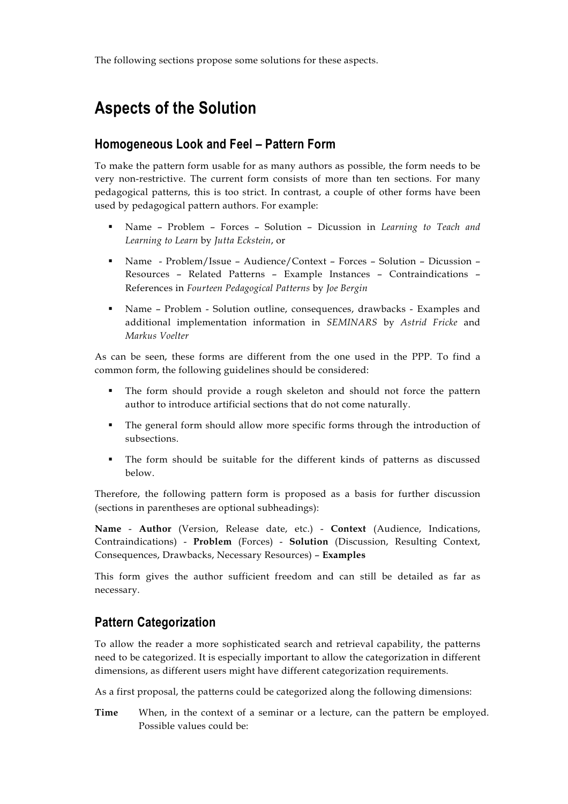The following sections propose some solutions for these aspects.

# **Aspects of the Solution**

### **Homogeneous Look and Feel – Pattern Form**

To make the pattern form usable for as many authors as possible, the form needs to be very non-restrictive. The current form consists of more than ten sections. For many pedagogical patterns, this is too strict. In contrast, a couple of other forms have been used by pedagogical pattern authors. For example:

- Name Problem Forces Solution Dicussion in *Learning to Teach and Learning to Learn* by *Jutta Eckstein*, or
- Name Problem/Issue Audience/Context Forces Solution Dicussion Resources – Related Patterns – Example Instances – Contraindications – References in *Fourteen Pedagogical Patterns* by *Joe Bergin*
- Name Problem Solution outline, consequences, drawbacks Examples and additional implementation information in *SEMINARS* by *Astrid Fricke* and *Markus Voelter*

As can be seen, these forms are different from the one used in the PPP. To find a common form, the following guidelines should be considered:

- The form should provide a rough skeleton and should not force the pattern author to introduce artificial sections that do not come naturally.
- The general form should allow more specific forms through the introduction of subsections.
- The form should be suitable for the different kinds of patterns as discussed below.

Therefore, the following pattern form is proposed as a basis for further discussion (sections in parentheses are optional subheadings):

**Name** - **Author** (Version, Release date, etc.) - **Context** (Audience, Indications, Contraindications) - **Problem** (Forces) - **Solution** (Discussion, Resulting Context, Consequences, Drawbacks, Necessary Resources) – **Examples**

This form gives the author sufficient freedom and can still be detailed as far as necessary.

## **Pattern Categorization**

To allow the reader a more sophisticated search and retrieval capability, the patterns need to be categorized. It is especially important to allow the categorization in different dimensions, as different users might have different categorization requirements.

As a first proposal, the patterns could be categorized along the following dimensions:

**Time** When, in the context of a seminar or a lecture, can the pattern be employed. Possible values could be: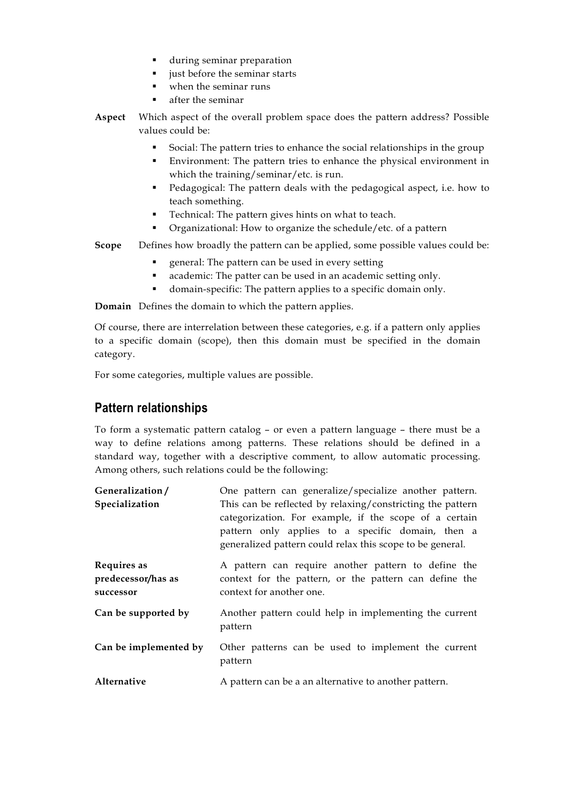- during seminar preparation
- just before the seminar starts
- when the seminar runs
- after the seminar
- **Aspect** Which aspect of the overall problem space does the pattern address? Possible values could be:
	- Social: The pattern tries to enhance the social relationships in the group
	- Environment: The pattern tries to enhance the physical environment in which the training/seminar/etc. is run.
	- Pedagogical: The pattern deals with the pedagogical aspect, i.e. how to teach something.
	- Technical: The pattern gives hints on what to teach.
	- Organizational: How to organize the schedule/etc. of a pattern

**Scope** Defines how broadly the pattern can be applied, some possible values could be:

- general: The pattern can be used in every setting
- academic: The patter can be used in an academic setting only.
- domain-specific: The pattern applies to a specific domain only.

**Domain** Defines the domain to which the pattern applies.

Of course, there are interrelation between these categories, e.g. if a pattern only applies to a specific domain (scope), then this domain must be specified in the domain category.

For some categories, multiple values are possible.

## **Pattern relationships**

To form a systematic pattern catalog – or even a pattern language – there must be a way to define relations among patterns. These relations should be defined in a standard way, together with a descriptive comment, to allow automatic processing. Among others, such relations could be the following:

| Generalization/                                | One pattern can generalize/specialize another pattern.                                                                                                                                                                                 |
|------------------------------------------------|----------------------------------------------------------------------------------------------------------------------------------------------------------------------------------------------------------------------------------------|
| Specialization                                 | This can be reflected by relaxing/constricting the pattern<br>categorization. For example, if the scope of a certain<br>pattern only applies to a specific domain, then a<br>generalized pattern could relax this scope to be general. |
| Requires as<br>predecessor/has as<br>successor | A pattern can require another pattern to define the<br>context for the pattern, or the pattern can define the<br>context for another one.                                                                                              |
| Can be supported by                            | Another pattern could help in implementing the current<br>pattern                                                                                                                                                                      |
| Can be implemented by                          | Other patterns can be used to implement the current<br>pattern                                                                                                                                                                         |
| Alternative                                    | A pattern can be a an alternative to another pattern.                                                                                                                                                                                  |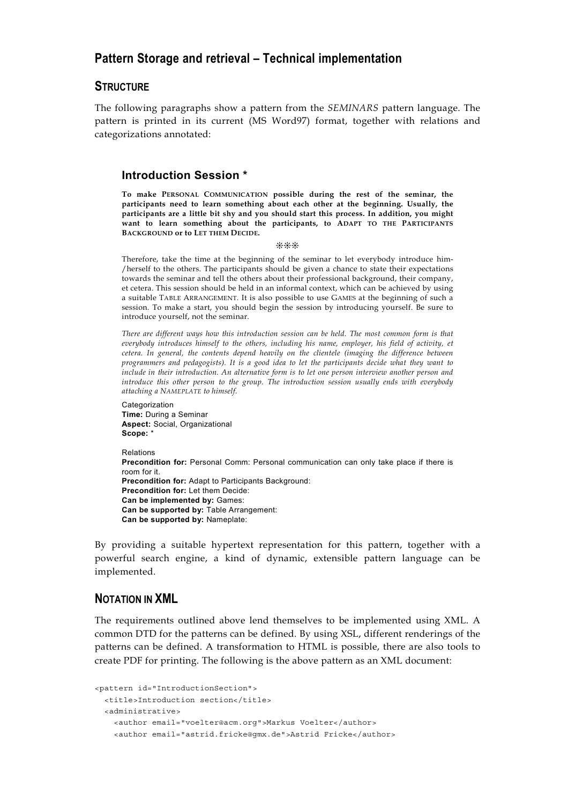### **Pattern Storage and retrieval – Technical implementation**

#### **STRUCTURE**

The following paragraphs show a pattern from the *SEMINARS* pattern language. The pattern is printed in its current (MS Word97) format, together with relations and categorizations annotated:

#### **Introduction Session \***

**To make PERSONAL COMMUNICATION possible during the rest of the seminar, the participants need to learn something about each other at the beginning. Usually, the participants are a little bit shy and you should start this process. In addition, you might want to learn something about the participants, to ADAPT TO THE PARTICIPANTS BACKGROUND or to LET THEM DECIDE.**

#### ❊❊❊

Therefore, take the time at the beginning of the seminar to let everybody introduce him- /herself to the others. The participants should be given a chance to state their expectations towards the seminar and tell the others about their professional background, their company, et cetera. This session should be held in an informal context, which can be achieved by using a suitable TABLE ARRANGEMENT. It is also possible to use GAMES at the beginning of such a session. To make a start, you should begin the session by introducing yourself. Be sure to introduce yourself, not the seminar.

*There are different ways how this introduction session can be held. The most common form is that everybody introduces himself to the others, including his name, employer, his field of activity, et cetera. In general, the contents depend heavily on the clientele (imaging the difference between programmers and pedagogists). It is a good idea to let the participants decide what they want to include in their introduction. An alternative form is to let one person interview another person and introduce this other person to the group. The introduction session usually ends with everybody attaching a NAMEPLATE to himself.*

Categorization **Time:** During a Seminar **Aspect:** Social, Organizational **Scope:** \*

Relations **Precondition for:** Personal Comm: Personal communication can only take place if there is room for it. **Precondition for:** Adapt to Participants Background: **Precondition for:** Let them Decide: **Can be implemented by:** Games: **Can be supported by:** Table Arrangement: **Can be supported by:** Nameplate:

By providing a suitable hypertext representation for this pattern, together with a powerful search engine, a kind of dynamic, extensible pattern language can be implemented.

#### **NOTATION IN XML**

The requirements outlined above lend themselves to be implemented using XML. A common DTD for the patterns can be defined. By using XSL, different renderings of the patterns can be defined. A transformation to HTML is possible, there are also tools to create PDF for printing. The following is the above pattern as an XML document:

```
<pattern id="IntroductionSection">
 <title>Introduction section</title>
 <administrative>
    <author email="voelter@acm.org">Markus Voelter</author>
    <author email="astrid.fricke@gmx.de">Astrid Fricke</author>
```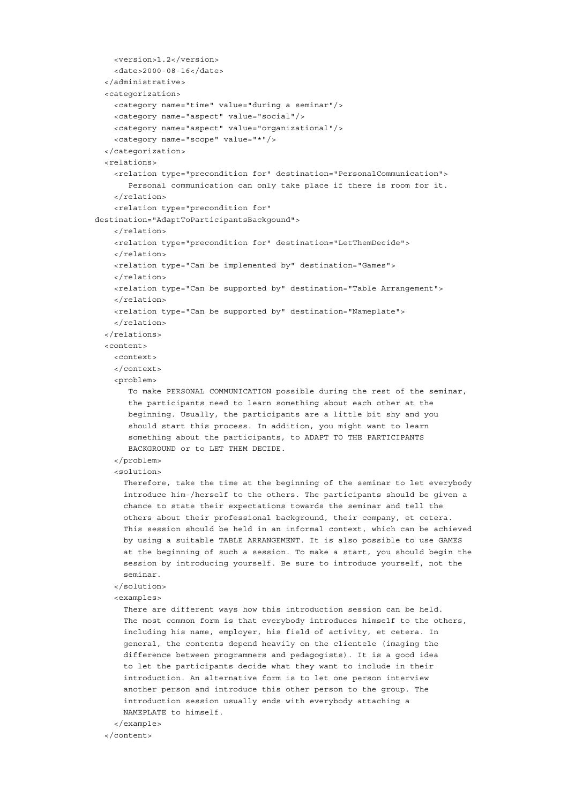```
<version>1.2</version>
    <date>2000-08-16</date>
 </administrative>
 <categorization>
   <category name="time" value="during a seminar"/>
    <category name="aspect" value="social"/>
    <category name="aspect" value="organizational"/>
    <category name="scope" value="*"/>
 </categorization>
 <relations>
    <relation type="precondition for" destination="PersonalCommunication">
      Personal communication can only take place if there is room for it.
    </relation>
    <relation type="precondition for"
destination="AdaptToParticipantsBackgound">
   </relation>
   <relation type="precondition for" destination="LetThemDecide">
   </relation>
   <relation type="Can be implemented by" destination="Games">
   </relation>
    <relation type="Can be supported by" destination="Table Arrangement">
    </relation>
   <relation type="Can be supported by" destination="Nameplate">
    </relation>
 </relations>
 <content>
    <context>
    </context>
    <problem>
      To make PERSONAL COMMUNICATION possible during the rest of the seminar,
      the participants need to learn something about each other at the
      beginning. Usually, the participants are a little bit shy and you
      should start this process. In addition, you might want to learn
      something about the participants, to ADAPT TO THE PARTICIPANTS
      BACKGROUND or to LET THEM DECIDE.
    </problem>
    <solution>
     Therefore, take the time at the beginning of the seminar to let everybody
     introduce him-/herself to the others. The participants should be given a
     chance to state their expectations towards the seminar and tell the
     others about their professional background, their company, et cetera.
     This session should be held in an informal context, which can be achieved
     by using a suitable TABLE ARRANGEMENT. It is also possible to use GAMES
      at the beginning of such a session. To make a start, you should begin the
     session by introducing yourself. Be sure to introduce yourself, not the
     seminar.
    </solution>
    <examples>
     There are different ways how this introduction session can be held.
     The most common form is that everybody introduces himself to the others,
     including his name, employer, his field of activity, et cetera. In
      general, the contents depend heavily on the clientele (imaging the
      difference between programmers and pedagogists). It is a good idea
     to let the participants decide what they want to include in their
     introduction. An alternative form is to let one person interview
     another person and introduce this other person to the group. The
     introduction session usually ends with everybody attaching a
     NAMEPLATE to himself.
```
</example>

</content>